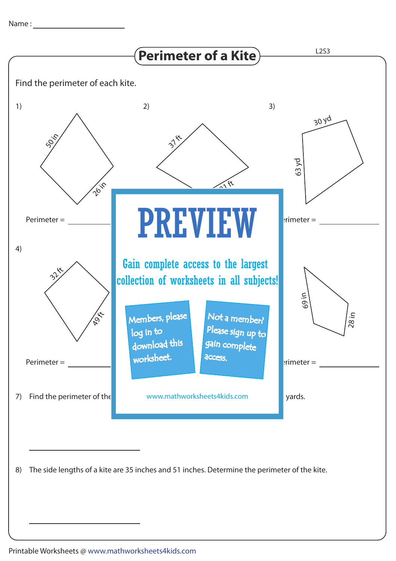